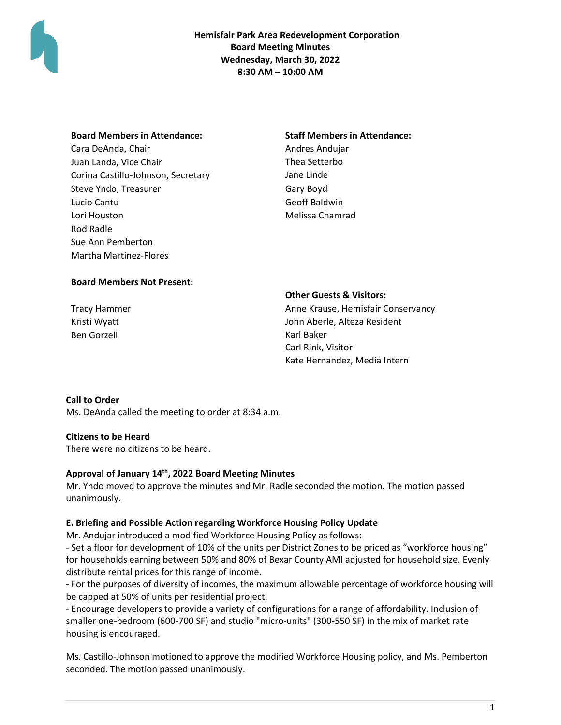

**Hemisfair Park Area Redevelopment Corporation Board Meeting Minutes Wednesday, March 30, 2022 8:30 AM – 10:00 AM**

| <b>Board Members in Attendance:</b> | <b>Staff Members in Attendance:</b> |
|-------------------------------------|-------------------------------------|
| Cara DeAnda, Chair                  | Andres Andujar                      |
| Juan Landa, Vice Chair              | Thea Setterbo                       |
| Corina Castillo-Johnson, Secretary  | Jane Linde                          |
| Steve Yndo, Treasurer               | Gary Boyd                           |
| Lucio Cantu                         | Geoff Baldwin                       |
| Lori Houston                        | Melissa Chamrad                     |
| Rod Radle                           |                                     |
| Sue Ann Pemberton                   |                                     |
| <b>Martha Martinez-Flores</b>       |                                     |

### **Board Members Not Present:**

Kristi Wyatt Ben Gorzell

**Other Guests & Visitors:**

Tracy Hammer **Anne Krause, Hemisfair Conservancy** John Aberle, Alteza Resident Karl Baker Carl Rink, Visitor Kate Hernandez, Media Intern

### **Call to Order**

Ms. DeAnda called the meeting to order at 8:34 a.m.

### **Citizens to be Heard**

There were no citizens to be heard.

# **Approval of January 14th, 2022 Board Meeting Minutes**

Mr. Yndo moved to approve the minutes and Mr. Radle seconded the motion. The motion passed unanimously.

### **E. Briefing and Possible Action regarding Workforce Housing Policy Update**

Mr. Andujar introduced a modified Workforce Housing Policy as follows:

- Set a floor for development of 10% of the units per District Zones to be priced as "workforce housing" for households earning between 50% and 80% of Bexar County AMI adjusted for household size. Evenly distribute rental prices for this range of income.

- For the purposes of diversity of incomes, the maximum allowable percentage of workforce housing will be capped at 50% of units per residential project.

- Encourage developers to provide a variety of configurations for a range of affordability. Inclusion of smaller one-bedroom (600-700 SF) and studio "micro-units" (300-550 SF) in the mix of market rate housing is encouraged.

Ms. Castillo-Johnson motioned to approve the modified Workforce Housing policy, and Ms. Pemberton seconded. The motion passed unanimously.